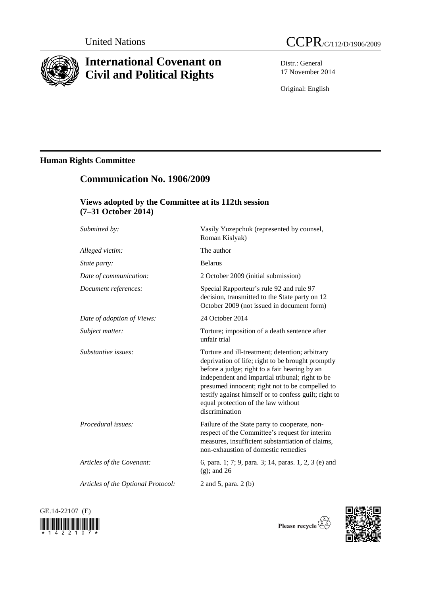

# **International Covenant on Civil and Political Rights**

Distr.: General 17 November 2014

Original: English

# **Human Rights Committee**

# **Communication No. 1906/2009**

# **Views adopted by the Committee at its 112th session (7–31 October 2014)**

| Submitted by:                      | Vasily Yuzepchuk (represented by counsel,<br>Roman Kislyak)                                                                                                                                                                                                                                                                                                                   |
|------------------------------------|-------------------------------------------------------------------------------------------------------------------------------------------------------------------------------------------------------------------------------------------------------------------------------------------------------------------------------------------------------------------------------|
| Alleged victim:                    | The author                                                                                                                                                                                                                                                                                                                                                                    |
| State party:                       | <b>Belarus</b>                                                                                                                                                                                                                                                                                                                                                                |
| Date of communication:             | 2 October 2009 (initial submission)                                                                                                                                                                                                                                                                                                                                           |
| Document references:               | Special Rapporteur's rule 92 and rule 97<br>decision, transmitted to the State party on 12<br>October 2009 (not issued in document form)                                                                                                                                                                                                                                      |
| Date of adoption of Views:         | 24 October 2014                                                                                                                                                                                                                                                                                                                                                               |
| Subject matter:                    | Torture; imposition of a death sentence after<br>unfair trial                                                                                                                                                                                                                                                                                                                 |
| Substantive issues:                | Torture and ill-treatment; detention; arbitrary<br>deprivation of life; right to be brought promptly<br>before a judge; right to a fair hearing by an<br>independent and impartial tribunal; right to be<br>presumed innocent; right not to be compelled to<br>testify against himself or to confess guilt; right to<br>equal protection of the law without<br>discrimination |
| Procedural issues:                 | Failure of the State party to cooperate, non-<br>respect of the Committee's request for interim<br>measures, insufficient substantiation of claims,<br>non-exhaustion of domestic remedies                                                                                                                                                                                    |
| Articles of the Covenant:          | 6, para. 1; 7; 9, para. 3; 14, paras. 1, 2, 3 (e) and<br>$(g)$ ; and 26                                                                                                                                                                                                                                                                                                       |
| Articles of the Optional Protocol: | 2 and 5, para. 2 (b)                                                                                                                                                                                                                                                                                                                                                          |
|                                    |                                                                                                                                                                                                                                                                                                                                                                               |





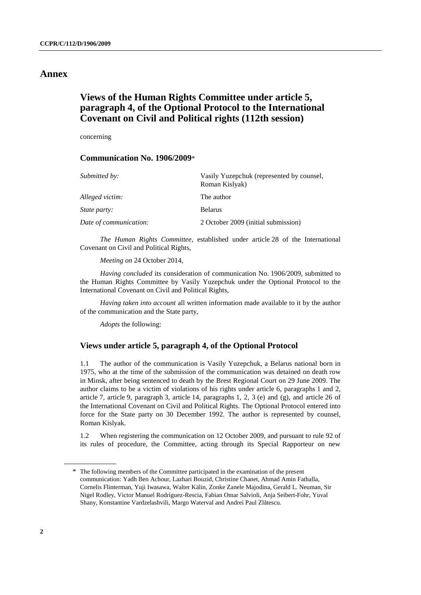## **Annex**

# **Views of the Human Rights Committee under article 5, paragraph 4, of the Optional Protocol to the International Covenant on Civil and Political rights (112th session)**

concerning

## **Communication No. 1906/2009**\*

| Submitted by:          | Vasily Yuzepchuk (represented by counsel,<br>Roman Kislyak) |
|------------------------|-------------------------------------------------------------|
| Alleged victim:        | The author                                                  |
| <i>State party:</i>    | <b>Belarus</b>                                              |
| Date of communication: | 2 October 2009 (initial submission)                         |

*The Human Rights Committee*, established under article 28 of the International Covenant on Civil and Political Rights,

*Meeting on* 24 October 2014,

*Having concluded* its consideration of communication No. 1906/2009, submitted to the Human Rights Committee by Vasily Yuzepchuk under the Optional Protocol to the International Covenant on Civil and Political Rights,

*Having taken into account* all written information made available to it by the author of the communication and the State party,

*Adopts* the following:

## **Views under article 5, paragraph 4, of the Optional Protocol**

1.1 The author of the communication is Vasily Yuzepchuk, a Belarus national born in 1975, who at the time of the submission of the communication was detained on death row in Minsk, after being sentenced to death by the Brest Regional Court on 29 June 2009. The author claims to be a victim of violations of his rights under article 6, paragraphs 1 and 2, article 7, article 9, paragraph 3, article 14, paragraphs 1, 2, 3 (e) and (g), and article 26 of the International Covenant on Civil and Political Rights. The Optional Protocol entered into force for the State party on 30 December 1992. The author is represented by counsel, Roman Kislyak.

1.2 When registering the communication on 12 October 2009, and pursuant to rule 92 of its rules of procedure, the Committee, acting through its Special Rapporteur on new

<sup>\*</sup> The following members of the Committee participated in the examination of the present communication: Yadh Ben Achour, Lazhari Bouzid, Christine Chanet, Ahmad Amin Fathalla, Cornelis Flinterman, Yuji Iwasawa, Walter Kälin, Zonke Zanele Majodina, Gerald L. Neuman, Sir Nigel Rodley, Victor Manuel Rodríguez-Rescia, Fabian Omar Salvioli, Anja Seibert-Fohr, Yuval Shany, Konstantine Vardzelashvili, Margo Waterval and Andrei Paul Zlătescu.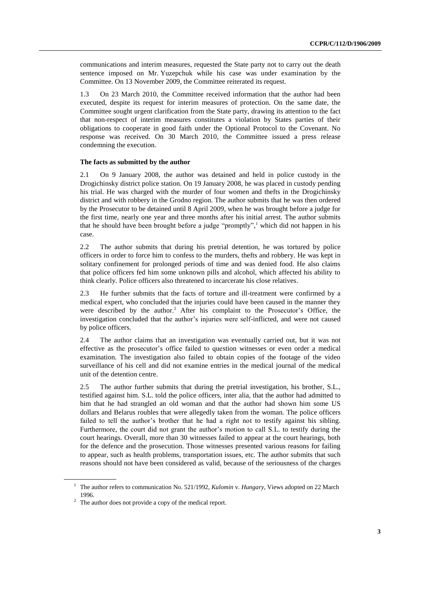communications and interim measures, requested the State party not to carry out the death sentence imposed on Mr. Yuzepchuk while his case was under examination by the Committee. On 13 November 2009, the Committee reiterated its request.

1.3 On 23 March 2010, the Committee received information that the author had been executed, despite its request for interim measures of protection. On the same date, the Committee sought urgent clarification from the State party, drawing its attention to the fact that non-respect of interim measures constitutes a violation by States parties of their obligations to cooperate in good faith under the Optional Protocol to the Covenant. No response was received. On 30 March 2010, the Committee issued a press release condemning the execution.

#### **The facts as submitted by the author**

2.1 On 9 January 2008, the author was detained and held in police custody in the Drogichinsky district police station. On 19 January 2008, he was placed in custody pending his trial. He was charged with the murder of four women and thefts in the Drogichinsky district and with robbery in the Grodno region. The author submits that he was then ordered by the Prosecutor to be detained until 8 April 2009, when he was brought before a judge for the first time, nearly one year and three months after his initial arrest. The author submits that he should have been brought before a judge "promptly", <sup>1</sup> which did not happen in his case.

2.2 The author submits that during his pretrial detention, he was tortured by police officers in order to force him to confess to the murders, thefts and robbery. He was kept in solitary confinement for prolonged periods of time and was denied food. He also claims that police officers fed him some unknown pills and alcohol, which affected his ability to think clearly. Police officers also threatened to incarcerate his close relatives.

2.3 He further submits that the facts of torture and ill-treatment were confirmed by a medical expert, who concluded that the injuries could have been caused in the manner they were described by the author. <sup>2</sup> After his complaint to the Prosecutor's Office, the investigation concluded that the author's injuries were self-inflicted, and were not caused by police officers.

2.4 The author claims that an investigation was eventually carried out, but it was not effective as the prosecutor's office failed to question witnesses or even order a medical examination. The investigation also failed to obtain copies of the footage of the video surveillance of his cell and did not examine entries in the medical journal of the medical unit of the detention centre.

2.5 The author further submits that during the pretrial investigation, his brother, S.L., testified against him. S.L. told the police officers, inter alia, that the author had admitted to him that he had strangled an old woman and that the author had shown him some US dollars and Belarus roubles that were allegedly taken from the woman. The police officers failed to tell the author's brother that he had a right not to testify against his sibling. Furthermore, the court did not grant the author's motion to call S.L. to testify during the court hearings. Overall, more than 30 witnesses failed to appear at the court hearings, both for the defence and the prosecution. Those witnesses presented various reasons for failing to appear, such as health problems, transportation issues, etc. The author submits that such reasons should not have been considered as valid, because of the seriousness of the charges

<sup>1</sup> The author refers to communication No. 521/1992, *Kulomin* v. *Hungary*, Views adopted on 22 March 1996.

<sup>2</sup> The author does not provide a copy of the medical report.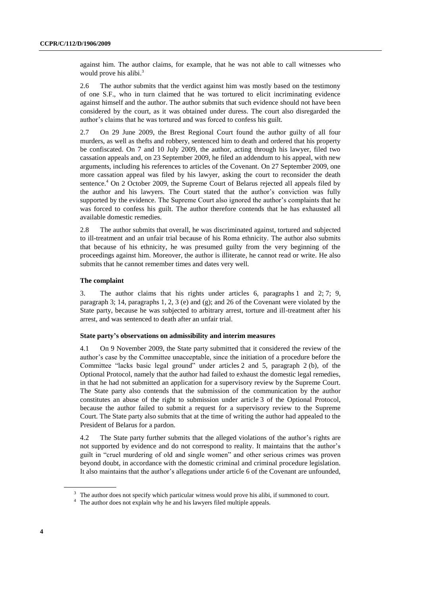against him. The author claims, for example, that he was not able to call witnesses who would prove his alibi.<sup>3</sup>

2.6 The author submits that the verdict against him was mostly based on the testimony of one S.F., who in turn claimed that he was tortured to elicit incriminating evidence against himself and the author. The author submits that such evidence should not have been considered by the court, as it was obtained under duress. The court also disregarded the author's claims that he was tortured and was forced to confess his guilt.

2.7 On 29 June 2009, the Brest Regional Court found the author guilty of all four murders, as well as thefts and robbery, sentenced him to death and ordered that his property be confiscated. On 7 and 10 July 2009, the author, acting through his lawyer, filed two cassation appeals and, on 23 September 2009, he filed an addendum to his appeal, with new arguments, including his references to articles of the Covenant. On 27 September 2009, one more cassation appeal was filed by his lawyer, asking the court to reconsider the death sentence. <sup>4</sup> On 2 October 2009, the Supreme Court of Belarus rejected all appeals filed by the author and his lawyers. The Court stated that the author's conviction was fully supported by the evidence. The Supreme Court also ignored the author's complaints that he was forced to confess his guilt. The author therefore contends that he has exhausted all available domestic remedies.

2.8 The author submits that overall, he was discriminated against, tortured and subjected to ill-treatment and an unfair trial because of his Roma ethnicity. The author also submits that because of his ethnicity, he was presumed guilty from the very beginning of the proceedings against him. Moreover, the author is illiterate, he cannot read or write. He also submits that he cannot remember times and dates very well.

#### **The complaint**

3. The author claims that his rights under articles 6, paragraphs 1 and 2; 7; 9, paragraph 3; 14, paragraphs 1, 2, 3 (e) and (g); and 26 of the Covenant were violated by the State party, because he was subjected to arbitrary arrest, torture and ill-treatment after his arrest, and was sentenced to death after an unfair trial.

### **State party's observations on admissibility and interim measures**

4.1 On 9 November 2009, the State party submitted that it considered the review of the author's case by the Committee unacceptable, since the initiation of a procedure before the Committee "lacks basic legal ground" under articles 2 and 5, paragraph 2 (b), of the Optional Protocol, namely that the author had failed to exhaust the domestic legal remedies, in that he had not submitted an application for a supervisory review by the Supreme Court. The State party also contends that the submission of the communication by the author constitutes an abuse of the right to submission under article 3 of the Optional Protocol, because the author failed to submit a request for a supervisory review to the Supreme Court. The State party also submits that at the time of writing the author had appealed to the President of Belarus for a pardon.

4.2 The State party further submits that the alleged violations of the author's rights are not supported by evidence and do not correspond to reality. It maintains that the author's guilt in "cruel murdering of old and single women" and other serious crimes was proven beyond doubt, in accordance with the domestic criminal and criminal procedure legislation. It also maintains that the author's allegations under article 6 of the Covenant are unfounded,

<sup>&</sup>lt;sup>3</sup> The author does not specify which particular witness would prove his alibi, if summoned to court.

<sup>&</sup>lt;sup>4</sup> The author does not explain why he and his lawyers filed multiple appeals.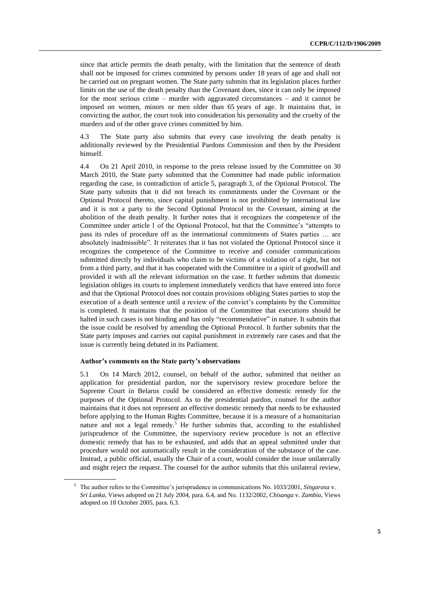since that article permits the death penalty, with the limitation that the sentence of death shall not be imposed for crimes committed by persons under 18 years of age and shall not be carried out on pregnant women. The State party submits that its legislation places further limits on the use of the death penalty than the Covenant does, since it can only be imposed for the most serious crime – murder with aggravated circumstances – and it cannot be imposed on women, minors or men older than 65 years of age. It maintains that, in convicting the author, the court took into consideration his personality and the cruelty of the murders and of the other grave crimes committed by him.

4.3 The State party also submits that every case involving the death penalty is additionally reviewed by the Presidential Pardons Commission and then by the President himself.

4.4 On 21 April 2010, in response to the press release issued by the Committee on 30 March 2010, the State party submitted that the Committee had made public information regarding the case, in contradiction of article 5, paragraph 3, of the Optional Protocol. The State party submits that it did not breach its commitments under the Covenant or the Optional Protocol thereto, since capital punishment is not prohibited by international law and it is not a party to the Second Optional Protocol to the Covenant, aiming at the abolition of the death penalty. It further notes that it recognizes the competence of the Committee under article 1 of the Optional Protocol, but that the Committee's "attempts to pass its rules of procedure off as the international commitments of States parties … are absolutely inadmissible". It reiterates that it has not violated the Optional Protocol since it recognizes the competence of the Committee to receive and consider communications submitted directly by individuals who claim to be victims of a violation of a right, but not from a third party, and that it has cooperated with the Committee in a spirit of goodwill and provided it with all the relevant information on the case. It further submits that domestic legislation obliges its courts to implement immediately verdicts that have entered into force and that the Optional Protocol does not contain provisions obliging States parties to stop the execution of a death sentence until a review of the convict's complaints by the Committee is completed. It maintains that the position of the Committee that executions should be halted in such cases is not binding and has only "recommendative" in nature. It submits that the issue could be resolved by amending the Optional Protocol. It further submits that the State party imposes and carries out capital punishment in extremely rare cases and that the issue is currently being debated in its Parliament.

## **Author's comments on the State party's observations**

5.1 On 14 March 2012, counsel, on behalf of the author, submitted that neither an application for presidential pardon, nor the supervisory review procedure before the Supreme Court in Belarus could be considered an effective domestic remedy for the purposes of the Optional Protocol. As to the presidential pardon, counsel for the author maintains that it does not represent an effective domestic remedy that needs to be exhausted before applying to the Human Rights Committee, because it is a measure of a humanitarian nature and not a legal remedy.<sup>5</sup> He further submits that, according to the established jurisprudence of the Committee, the supervisory review procedure is not an effective domestic remedy that has to be exhausted, and adds that an appeal submitted under that procedure would not automatically result in the consideration of the substance of the case. Instead, a public official, usually the Chair of a court, would consider the issue unilaterally and might reject the request. The counsel for the author submits that this unilateral review,

<sup>5</sup> The author refers to the Committee's jurisprudence in communications No. 1033/2001, *Singarasa* v. *Sri Lanka*, Views adopted on 21 July 2004, para. 6.4, and No. 1132/2002, *Chisanga* v. *Zambia*, Views adopted on 18 October 2005, para. 6.3.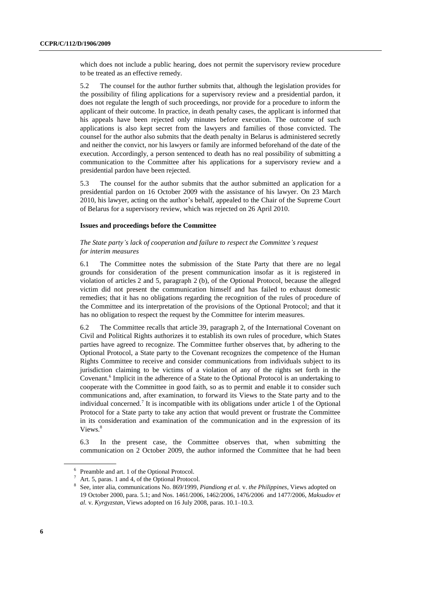which does not include a public hearing, does not permit the supervisory review procedure to be treated as an effective remedy.

5.2 The counsel for the author further submits that, although the legislation provides for the possibility of filing applications for a supervisory review and a presidential pardon, it does not regulate the length of such proceedings, nor provide for a procedure to inform the applicant of their outcome. In practice, in death penalty cases, the applicant is informed that his appeals have been rejected only minutes before execution. The outcome of such applications is also kept secret from the lawyers and families of those convicted. The counsel for the author also submits that the death penalty in Belarus is administered secretly and neither the convict, nor his lawyers or family are informed beforehand of the date of the execution. Accordingly, a person sentenced to death has no real possibility of submitting a communication to the Committee after his applications for a supervisory review and a presidential pardon have been rejected.

5.3 The counsel for the author submits that the author submitted an application for a presidential pardon on 16 October 2009 with the assistance of his lawyer. On 23 March 2010, his lawyer, acting on the author's behalf, appealed to the Chair of the Supreme Court of Belarus for a supervisory review, which was rejected on 26 April 2010.

#### **Issues and proceedings before the Committee**

### *The State party's lack of cooperation and failure to respect the Committee's request for interim measures*

6.1 The Committee notes the submission of the State Party that there are no legal grounds for consideration of the present communication insofar as it is registered in violation of articles 2 and 5, paragraph 2 (b), of the Optional Protocol, because the alleged victim did not present the communication himself and has failed to exhaust domestic remedies; that it has no obligations regarding the recognition of the rules of procedure of the Committee and its interpretation of the provisions of the Optional Protocol; and that it has no obligation to respect the request by the Committee for interim measures.

6.2 The Committee recalls that article 39, paragraph 2, of the International Covenant on Civil and Political Rights authorizes it to establish its own rules of procedure, which States parties have agreed to recognize. The Committee further observes that, by adhering to the Optional Protocol, a State party to the Covenant recognizes the competence of the Human Rights Committee to receive and consider communications from individuals subject to its jurisdiction claiming to be victims of a violation of any of the rights set forth in the Covenant. 6 Implicit in the adherence of a State to the Optional Protocol is an undertaking to cooperate with the Committee in good faith, so as to permit and enable it to consider such communications and, after examination, to forward its Views to the State party and to the individual concerned.<sup>7</sup> It is incompatible with its obligations under article 1 of the Optional Protocol for a State party to take any action that would prevent or frustrate the Committee in its consideration and examination of the communication and in the expression of its Views.<sup>8</sup>

6.3 In the present case, the Committee observes that, when submitting the communication on 2 October 2009, the author informed the Committee that he had been

<sup>6</sup> Preamble and art. 1 of the Optional Protocol.

Art. 5, paras. 1 and 4, of the Optional Protocol.

<sup>8</sup> See, inter alia, communications No. 869/1999, *Piandiong et al.* v. *the Philippines*, Views adopted on 19 October 2000, para. 5.1; and Nos. 1461/2006, 1462/2006, 1476/2006 and 1477/2006, *Maksudov et al.* v. *Kyrgyzstan*, Views adopted on 16 July 2008, paras. 10.1–10.3.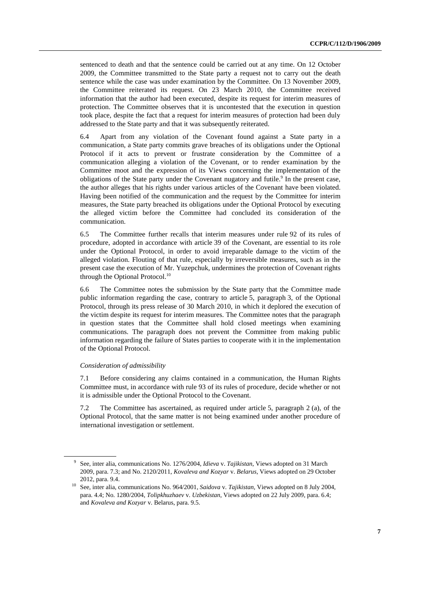sentenced to death and that the sentence could be carried out at any time. On 12 October 2009, the Committee transmitted to the State party a request not to carry out the death sentence while the case was under examination by the Committee. On 13 November 2009, the Committee reiterated its request. On 23 March 2010, the Committee received information that the author had been executed, despite its request for interim measures of protection. The Committee observes that it is uncontested that the execution in question took place, despite the fact that a request for interim measures of protection had been duly addressed to the State party and that it was subsequently reiterated.

6.4 Apart from any violation of the Covenant found against a State party in a communication, a State party commits grave breaches of its obligations under the Optional Protocol if it acts to prevent or frustrate consideration by the Committee of a communication alleging a violation of the Covenant, or to render examination by the Committee moot and the expression of its Views concerning the implementation of the obligations of the State party under the Covenant nugatory and futile.<sup>9</sup> In the present case, the author alleges that his rights under various articles of the Covenant have been violated. Having been notified of the communication and the request by the Committee for interim measures, the State party breached its obligations under the Optional Protocol by executing the alleged victim before the Committee had concluded its consideration of the communication.

6.5 The Committee further recalls that interim measures under rule 92 of its rules of procedure, adopted in accordance with article 39 of the Covenant, are essential to its role under the Optional Protocol, in order to avoid irreparable damage to the victim of the alleged violation. Flouting of that rule, especially by irreversible measures, such as in the present case the execution of Mr. Yuzepchuk, undermines the protection of Covenant rights through the Optional Protocol.<sup>10</sup>

6.6 The Committee notes the submission by the State party that the Committee made public information regarding the case, contrary to article 5, paragraph 3, of the Optional Protocol, through its press release of 30 March 2010, in which it deplored the execution of the victim despite its request for interim measures. The Committee notes that the paragraph in question states that the Committee shall hold closed meetings when examining communications. The paragraph does not prevent the Committee from making public information regarding the failure of States parties to cooperate with it in the implementation of the Optional Protocol.

#### *Consideration of admissibility*

7.1 Before considering any claims contained in a communication, the Human Rights Committee must, in accordance with rule 93 of its rules of procedure, decide whether or not it is admissible under the Optional Protocol to the Covenant.

7.2 The Committee has ascertained, as required under article 5, paragraph 2 (a), of the Optional Protocol, that the same matter is not being examined under another procedure of international investigation or settlement.

<sup>9</sup> See, inter alia, communications No. 1276/2004, *Idieva* v. *Tajikistan*, Views adopted on 31 March 2009, para. 7.3; and No. 2120/2011, *Kovaleva and Kozyar* v. *Belarus*, Views adopted on 29 October 2012, para. 9.4.

<sup>10</sup> See, inter alia, communications No. 964/2001, *Saidova* v. *Tajikistan*, Views adopted on 8 July 2004, para. 4.4; No. 1280/2004, *Tolipkhuzhaev* v. *Uzbekistan*, Views adopted on 22 July 2009, para. 6.4; and *Kovaleva and Kozyar* v. Belarus, para. 9.5.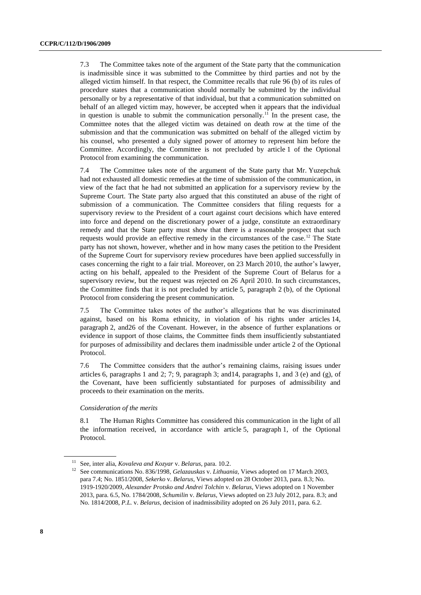7.3 The Committee takes note of the argument of the State party that the communication is inadmissible since it was submitted to the Committee by third parties and not by the alleged victim himself. In that respect, the Committee recalls that rule 96 (b) of its rules of procedure states that a communication should normally be submitted by the individual personally or by a representative of that individual, but that a communication submitted on behalf of an alleged victim may, however, be accepted when it appears that the individual in question is unable to submit the communication personally.<sup>11</sup> In the present case, the Committee notes that the alleged victim was detained on death row at the time of the submission and that the communication was submitted on behalf of the alleged victim by his counsel, who presented a duly signed power of attorney to represent him before the Committee. Accordingly, the Committee is not precluded by article 1 of the Optional Protocol from examining the communication.

7.4 The Committee takes note of the argument of the State party that Mr. Yuzepchuk had not exhausted all domestic remedies at the time of submission of the communication, in view of the fact that he had not submitted an application for a supervisory review by the Supreme Court. The State party also argued that this constituted an abuse of the right of submission of a communication. The Committee considers that filing requests for a supervisory review to the President of a court against court decisions which have entered into force and depend on the discretionary power of a judge, constitute an extraordinary remedy and that the State party must show that there is a reasonable prospect that such requests would provide an effective remedy in the circumstances of the case.<sup>12</sup> The State party has not shown, however, whether and in how many cases the petition to the President of the Supreme Court for supervisory review procedures have been applied successfully in cases concerning the right to a fair trial. Moreover, on 23 March 2010, the author's lawyer, acting on his behalf, appealed to the President of the Supreme Court of Belarus for a supervisory review, but the request was rejected on 26 April 2010. In such circumstances, the Committee finds that it is not precluded by article 5, paragraph 2 (b), of the Optional Protocol from considering the present communication.

7.5 The Committee takes notes of the author's allegations that he was discriminated against, based on his Roma ethnicity, in violation of his rights under articles 14, paragraph 2, and26 of the Covenant. However, in the absence of further explanations or evidence in support of those claims, the Committee finds them insufficiently substantiated for purposes of admissibility and declares them inadmissible under article 2 of the Optional Protocol.

7.6 The Committee considers that the author's remaining claims, raising issues under articles 6, paragraphs 1 and 2; 7; 9, paragraph 3; and14, paragraphs 1, and 3 (e) and (g), of the Covenant, have been sufficiently substantiated for purposes of admissibility and proceeds to their examination on the merits.

#### *Consideration of the merits*

8.1 The Human Rights Committee has considered this communication in the light of all the information received, in accordance with article 5, paragraph 1, of the Optional Protocol.

<sup>11</sup> See, inter alia, *Kovaleva and Kozyar* v. *Belarus*, para. 10.2.

<sup>12</sup> See communications No. 836/1998, *Gelazauskas* v. *Lithuania*, Views adopted on 17 March 2003, para 7.4; No. 1851/2008, *Sekerko* v. *Belarus,* Views adopted on 28 October 2013, para. 8.3; No. 1919-1920/2009, *Alexander Protsko and Andrei Tolchin* v. *Belarus*, Views adopted on 1 November 2013, para. 6.5, No. 1784/2008, *Schumilin* v. *Belarus*, Views adopted on 23 July 2012, para. 8.3; and No. 1814/2008, *P.L.* v. *Belarus*, decision of inadmissibility adopted on 26 July 2011, para. 6.2.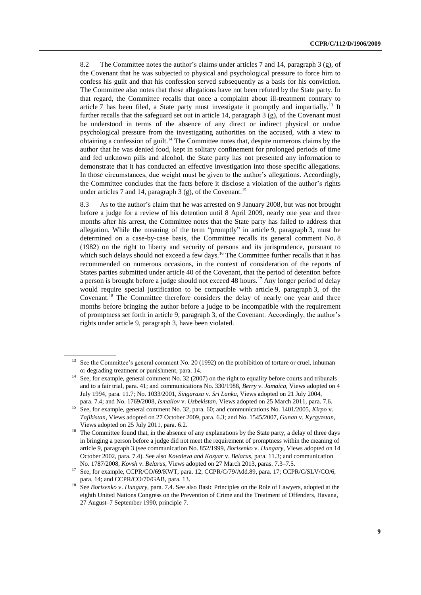8.2 The Committee notes the author's claims under articles 7 and 14, paragraph 3 (g), of the Covenant that he was subjected to physical and psychological pressure to force him to confess his guilt and that his confession served subsequently as a basis for his conviction. The Committee also notes that those allegations have not been refuted by the State party. In that regard, the Committee recalls that once a complaint about ill-treatment contrary to article 7 has been filed, a State party must investigate it promptly and impartially.<sup>13</sup> It further recalls that the safeguard set out in article 14, paragraph 3 (g), of the Covenant must be understood in terms of the absence of any direct or indirect physical or undue psychological pressure from the investigating authorities on the accused, with a view to obtaining a confession of guilt.<sup>14</sup> The Committee notes that, despite numerous claims by the author that he was denied food, kept in solitary confinement for prolonged periods of time and fed unknown pills and alcohol, the State party has not presented any information to demonstrate that it has conducted an effective investigation into those specific allegations. In those circumstances, due weight must be given to the author's allegations. Accordingly, the Committee concludes that the facts before it disclose a violation of the author's rights under articles 7 and 14, paragraph  $3$  (g), of the Covenant.<sup>15</sup>

8.3 As to the author's claim that he was arrested on 9 January 2008, but was not brought before a judge for a review of his detention until 8 April 2009, nearly one year and three months after his arrest, the Committee notes that the State party has failed to address that allegation. While the meaning of the term "promptly" in article 9, paragraph 3, must be determined on a case-by-case basis, the Committee recalls its general comment No. 8 (1982) on the right to liberty and security of persons and its jurisprudence, pursuant to which such delays should not exceed a few days.<sup>16</sup> The Committee further recalls that it has recommended on numerous occasions, in the context of consideration of the reports of States parties submitted under article 40 of the Covenant, that the period of detention before a person is brought before a judge should not exceed 48 hours.<sup>17</sup> Any longer period of delay would require special justification to be compatible with article 9, paragraph 3, of the Covenant.<sup>18</sup> The Committee therefore considers the delay of nearly one year and three months before bringing the author before a judge to be incompatible with the requirement of promptness set forth in article 9, paragraph 3, of the Covenant. Accordingly, the author's rights under article 9, paragraph 3, have been violated.

See the Committee's general comment No. 20 (1992) on the prohibition of torture or cruel, inhuman or degrading treatment or punishment, para. 14.

<sup>&</sup>lt;sup>14</sup> See, for example, general comment No. 32 (2007) on the right to equality before courts and tribunals and to a fair trial, para. 41; and communications No. 330/1988, *Berry* v. *Jamaica*, Views adopted on 4 July 1994, para. 11.7; No. 1033/2001, *Singarasa* v. *Sri Lanka*, Views adopted on 21 July 2004, para. 7.4; and No. 1769/2008, *Ismailov* v. *Uzbekistan*, Views adopted on 25 March 2011, para. 7.6.

<sup>15</sup> See, for example, general comment No. 32, para. 60; and communications No. 1401/2005, *Kirpo* v. *Tajikistan*, Views adopted on 27 October 2009, para. 6.3; and No. 1545/2007, *Gunan* v. *Kyrgyzstan*, Views adopted on 25 July 2011, para. 6.2.

<sup>&</sup>lt;sup>16</sup> The Committee found that, in the absence of any explanations by the State party, a delay of three days in bringing a person before a judge did not meet the requirement of promptness within the meaning of article 9, paragraph 3 (see communication No. 852/1999, *Borisenko* v. *Hungary*, Views adopted on 14 October 2002, para. 7.4). See also *Kovaleva and Kozyar* v. *Belarus*, para. 11.3; and communication No. 1787/2008, *Kovsh* v. *Belarus*, Views adopted on 27 March 2013, paras. 7.3–7.5.

<sup>&</sup>lt;sup>17</sup> See, for example, CCPR/CO/69/KWT, para. 12; CCPR/C/79/Add.89, para. 17; CCPR/C/SLV/CO/6, para. 14; and CCPR/CO/70/GAB, para. 13.

<sup>18</sup> See *Borisenko* v. *Hungary*, para. 7.4. See also Basic Principles on the Role of Lawyers, adopted at the eighth United Nations Congress on the Prevention of Crime and the Treatment of Offenders, Havana, 27 August–7 September 1990, principle 7.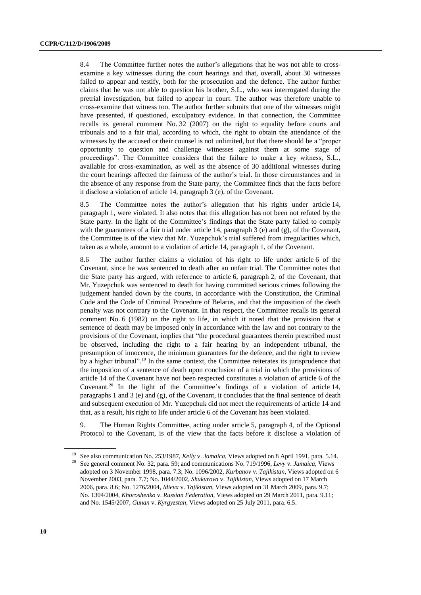8.4 The Committee further notes the author's allegations that he was not able to crossexamine a key witnesses during the court hearings and that, overall, about 30 witnesses failed to appear and testify, both for the prosecution and the defence. The author further claims that he was not able to question his brother, S.L., who was interrogated during the pretrial investigation, but failed to appear in court. The author was therefore unable to cross-examine that witness too. The author further submits that one of the witnesses might have presented, if questioned, exculpatory evidence. In that connection, the Committee recalls its general comment No. 32 (2007) on the right to equality before courts and tribunals and to a fair trial, according to which, the right to obtain the attendance of the witnesses by the accused or their counsel is not unlimited, but that there should be a "proper opportunity to question and challenge witnesses against them at some stage of proceedings". The Committee considers that the failure to make a key witness, S.L., available for cross-examination, as well as the absence of 30 additional witnesses during the court hearings affected the fairness of the author's trial. In those circumstances and in the absence of any response from the State party, the Committee finds that the facts before it disclose a violation of article 14, paragraph 3 (e), of the Covenant.

8.5 The Committee notes the author's allegation that his rights under article 14, paragraph 1, were violated. It also notes that this allegation has not been not refuted by the State party. In the light of the Committee's findings that the State party failed to comply with the guarantees of a fair trial under article 14, paragraph 3 (e) and (g), of the Covenant, the Committee is of the view that Mr. Yuzepchuk's trial suffered from irregularities which, taken as a whole, amount to a violation of article 14, paragraph 1, of the Covenant.

8.6 The author further claims a violation of his right to life under article 6 of the Covenant, since he was sentenced to death after an unfair trial. The Committee notes that the State party has argued, with reference to article 6, paragraph 2, of the Covenant, that Mr. Yuzepchuk was sentenced to death for having committed serious crimes following the judgement handed down by the courts, in accordance with the Constitution, the Criminal Code and the Code of Criminal Procedure of Belarus, and that the imposition of the death penalty was not contrary to the Covenant. In that respect, the Committee recalls its general comment No. 6 (1982) on the right to life, in which it noted that the provision that a sentence of death may be imposed only in accordance with the law and not contrary to the provisions of the Covenant, implies that "the procedural guarantees therein prescribed must be observed, including the right to a fair hearing by an independent tribunal, the presumption of innocence, the minimum guarantees for the defence, and the right to review by a higher tribunal".<sup>19</sup> In the same context, the Committee reiterates its jurisprudence that the imposition of a sentence of death upon conclusion of a trial in which the provisions of article 14 of the Covenant have not been respected constitutes a violation of article 6 of the Covenant.<sup>20</sup> In the light of the Committee's findings of a violation of article 14, paragraphs 1 and 3 (e) and (g), of the Covenant, it concludes that the final sentence of death and subsequent execution of Mr. Yuzepchuk did not meet the requirements of article 14 and that, as a result, his right to life under article 6 of the Covenant has been violated.

9. The Human Rights Committee, acting under article 5, paragraph 4, of the Optional Protocol to the Covenant, is of the view that the facts before it disclose a violation of

<sup>19</sup> See also communication No. 253/1987, *Kelly* v. *Jamaica*, Views adopted on 8 April 1991, para. 5.14.

<sup>20</sup> See general comment No. 32, para. 59; and communications No. 719/1996, *Levy* v. *Jamaica*, Views adopted on 3 November 1998, para. 7.3; No. 1096/2002, *Kurbanov* v. *Tajikistan*, Views adopted on 6 November 2003, para. 7.7; No. 1044/2002, *Shukurova* v. *Tajikistan*, Views adopted on 17 March 2006, para. 8.6; No. 1276/2004, *Idieva* v. *Tajikistan*, Views adopted on 31 March 2009, para. 9.7; No. 1304/2004, *Khoroshenko* v. *Russian Federation*, Views adopted on 29 March 2011, para. 9.11; and No. 1545/2007, *Gunan* v. *Kyrgyzstan*, Views adopted on 25 July 2011, para. 6.5.